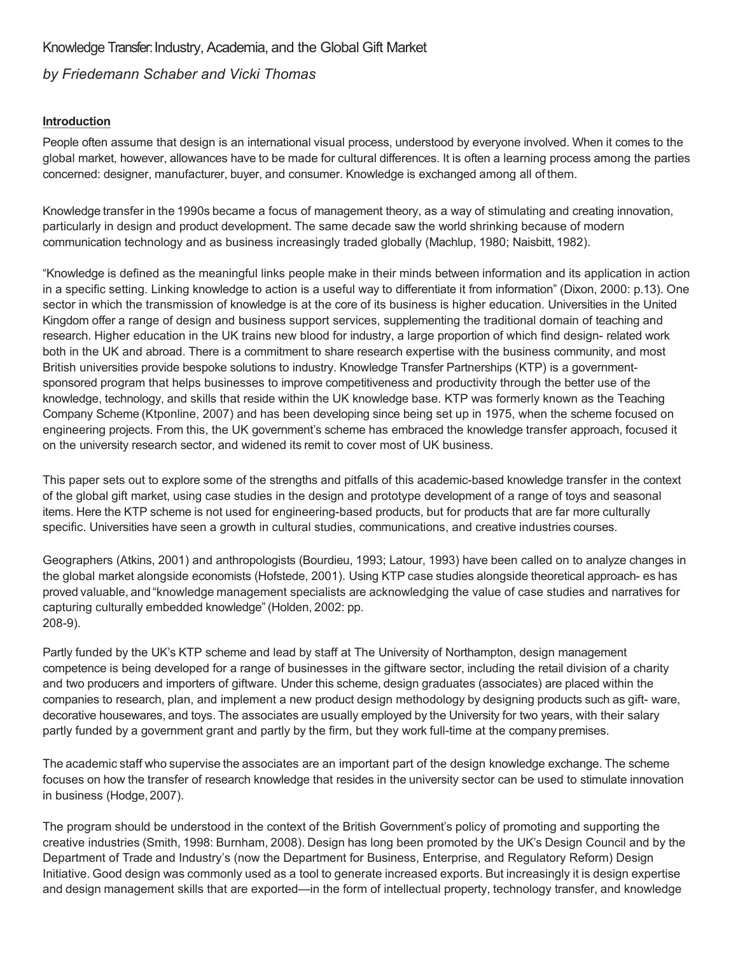# Knowledge Transfer: Industry, Academia, and the Global Gift Market

### *by Friedemann Schaber and Vicki Thomas*

#### **Introduction**

People often assume that design is an international visual process, understood by everyone involved. When it comes to the global market, however, allowances have to be made for cultural differences. It is often a learning process among the parties concerned: designer, manufacturer, buyer, and consumer. Knowledge is exchanged among all of them.

Knowledge transfer in the 1990s became a focus of management theory, as a way of stimulating and creating innovation, particularly in design and product development. The same decade saw the world shrinking because of modern communication technology and as business increasingly traded globally (Machlup, 1980; Naisbitt, 1982).

"Knowledge is defined as the meaningful links people make in their minds between information and its application in action in a specific setting. Linking knowledge to action is a useful way to differentiate it from information" (Dixon, 2000: p.13). One sector in which the transmission of knowledge is at the core of its business is higher education. Universities in the United Kingdom offer a range of design and business support services, supplementing the traditional domain of teaching and research. Higher education in the UK trains new blood for industry, a large proportion of which find design- related work both in the UK and abroad. There is a commitment to share research expertise with the business community, and most British universities provide bespoke solutions to industry. Knowledge Transfer Partnerships (KTP) is a governmentsponsored program that helps businesses to improve competitiveness and productivity through the better use of the knowledge, technology, and skills that reside within the UK knowledge base. KTP was formerly known as the Teaching Company Scheme (Ktponline, 2007) and has been developing since being set up in 1975, when the scheme focused on engineering projects. From this, the UK government's scheme has embraced the knowledge transfer approach, focused it on the university research sector, and widened its remit to cover most of UK business.

This paper sets out to explore some of the strengths and pitfalls of this academic-based knowledge transfer in the context of the global gift market, using case studies in the design and prototype development of a range of toys and seasonal items. Here the KTP scheme is not used for engineering-based products, but for products that are far more culturally specific. Universities have seen a growth in cultural studies, communications, and creative industries courses.

Geographers (Atkins, 2001) and anthropologists (Bourdieu, 1993; Latour, 1993) have been called on to analyze changes in the global market alongside economists (Hofstede, 2001). Using KTP case studies alongside theoretical approach- es has proved valuable, and "knowledge management specialists are acknowledging the value of case studies and narratives for capturing culturally embedded knowledge" (Holden, 2002: pp. 208-9).

Partly funded by the UK's KTP scheme and lead by staff at The University of Northampton, design management competence is being developed for a range of businesses in the giftware sector, including the retail division of a charity and two producers and importers of giftware. Under this scheme, design graduates (associates) are placed within the companies to research, plan, and implement a new product design methodology by designing products such as gift- ware, decorative housewares, and toys. The associates are usually employed by the University for two years, with their salary partly funded by a government grant and partly by the firm, but they work full-time at the company premises.

The academic staff who supervise the associates are an important part of the design knowledge exchange. The scheme focuses on how the transfer of research knowledge that resides in the university sector can be used to stimulate innovation in business (Hodge, 2007).

The program should be understood in the context of the British Government's policy of promoting and supporting the creative industries (Smith, 1998: Burnham, 2008). Design has long been promoted by the UK's Design Council and by the Department of Trade and Industry's (now the Department for Business, Enterprise, and Regulatory Reform) Design Initiative. Good design was commonly used as a tool to generate increased exports. But increasingly it is design expertise and design management skills that are exported—in the form of intellectual property, technology transfer, and knowledge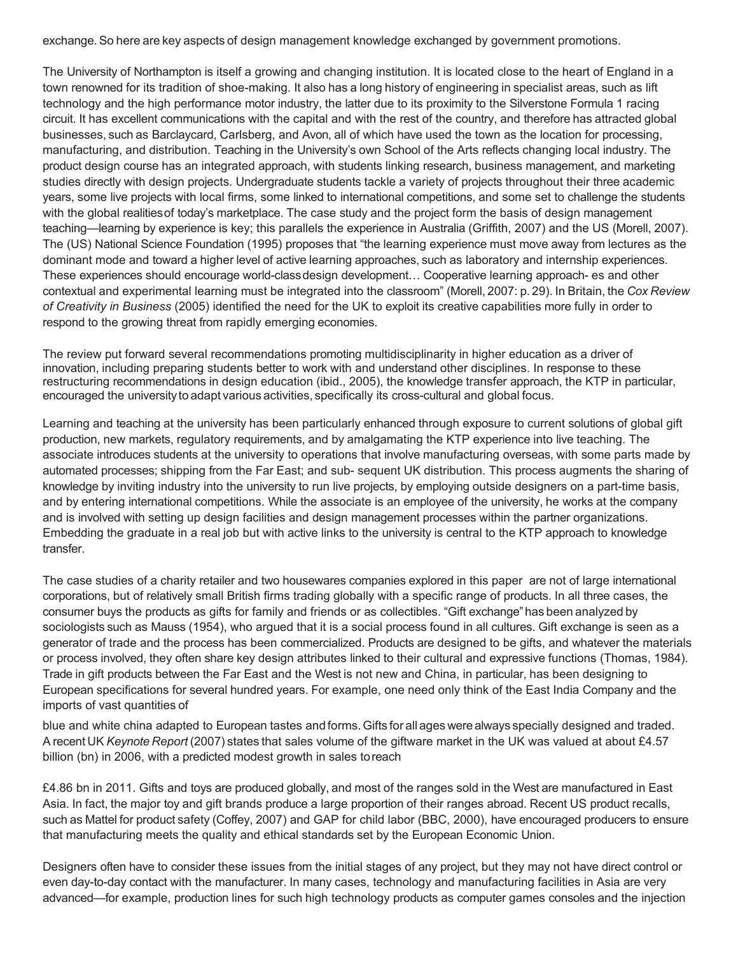exchange. So here are key aspects of design management knowledge exchanged by government promotions.

The University of Northampton is itself a growing and changing institution. It is located close to the heart of England in a town renowned for its tradition of shoe-making. It also has a long history of engineering in specialist areas, such as lift technology and the high performance motor industry, the latter due to its proximity to the Silverstone Formula 1 racing circuit. It has excellent communications with the capital and with the rest of the country, and therefore has attracted global businesses, such as Barclaycard, Carlsberg, and Avon, all of which have used the town as the location for processing, manufacturing, and distribution. Teaching in the University's own School of the Arts reflects changing local industry. The product design course has an integrated approach, with students linking research, business management, and marketing studies directly with design projects. Undergraduate students tackle a variety of projects throughout their three academic years, some live projects with local firms, some linked to international competitions, and some set to challenge the students with the global realitiesof today's marketplace. The case study and the project form the basis of design management teaching—learning by experience is key; this parallels the experience in Australia (Griffith, 2007) and the US (Morell, 2007). The (US) National Science Foundation (1995) proposes that "the learning experience must move away from lectures as the dominant mode and toward a higher level of active learning approaches, such as laboratory and internship experiences. These experiences should encourage world-classdesign development… Cooperative learning approach- es and other contextual and experimental learning must be integrated into the classroom" (Morell, 2007: p. 29). In Britain, the *Cox Review of Creativity in Business* (2005) identified the need for the UK to exploit its creative capabilities more fully in order to respond to the growing threat from rapidly emerging economies.

The review put forward several recommendations promoting multidisciplinarity in higher education as a driver of innovation, including preparing students better to work with and understand other disciplines. In response to these restructuring recommendations in design education (ibid., 2005), the knowledge transfer approach, the KTP in particular, encouraged the university to adapt various activities, specifically its cross-cultural and global focus.

Learning and teaching at the university has been particularly enhanced through exposure to current solutions of global gift production, new markets, regulatory requirements, and by amalgamating the KTP experience into live teaching. The associate introduces students at the university to operations that involve manufacturing overseas, with some parts made by automated processes; shipping from the Far East; and sub- sequent UK distribution. This process augments the sharing of knowledge by inviting industry into the university to run live projects, by employing outside designers on a part-time basis, and by entering international competitions. While the associate is an employee of the university, he works at the company and is involved with setting up design facilities and design management processes within the partner organizations. Embedding the graduate in a real job but with active links to the university is central to the KTP approach to knowledge transfer.

The case studies of a charity retailer and two housewares companies explored in this paper are not of large international corporations, but of relatively small British firms trading globally with a specific range of products. In all three cases, the consumer buys the products as gifts for family and friends or as collectibles. "Gift exchange"has been analyzed by sociologists such as Mauss (1954), who argued that it is a social process found in all cultures. Gift exchange is seen as a generator of trade and the process has been commercialized. Products are designed to be gifts, and whatever the materials or process involved, they often share key design attributes linked to their cultural and expressive functions (Thomas, 1984). Trade in gift products between the Far East and the West is not new and China, in particular, has been designing to European specifications for several hundred years. For example, one need only think of the East India Company and the imports of vast quantities of

blue and white china adapted to European tastes and forms. Gifts for all ages were always specially designed and traded. A recent UK *Keynote Report* (2007) states that sales volume of the giftware market in the UK was valued at about £4.57 billion (bn) in 2006, with a predicted modest growth in sales toreach

£4.86 bn in 2011. Gifts and toys are produced globally, and most of the ranges sold in the West are manufactured in East Asia. In fact, the major toy and gift brands produce a large proportion of their ranges abroad. Recent US product recalls, such as Mattel for product safety (Coffey, 2007) and GAP for child labor (BBC, 2000), have encouraged producers to ensure that manufacturing meets the quality and ethical standards set by the European Economic Union.

Designers often have to consider these issues from the initial stages of any project, but they may not have direct control or even day-to-day contact with the manufacturer. In many cases, technology and manufacturing facilities in Asia are very advanced—for example, production lines for such high technology products as computer games consoles and the injection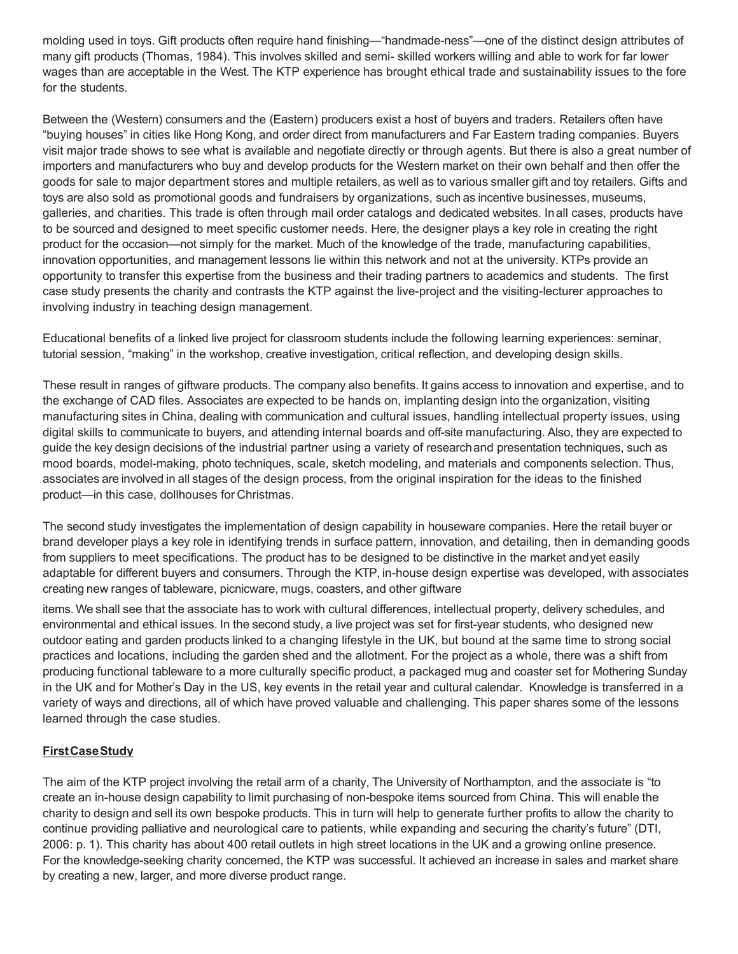molding used in toys. Gift products often require hand finishing—"handmade-ness"—one of the distinct design attributes of many gift products (Thomas, 1984). This involves skilled and semi- skilled workers willing and able to work for far lower wages than are acceptable in the West. The KTP experience has brought ethical trade and sustainability issues to the fore for the students.

Between the (Western) consumers and the (Eastern) producers exist a host of buyers and traders. Retailers often have "buying houses" in cities like Hong Kong, and order direct from manufacturers and Far Eastern trading companies. Buyers visit major trade shows to see what is available and negotiate directly or through agents. But there is also a great number of importers and manufacturers who buy and develop products for the Western market on their own behalf and then offer the goods for sale to major department stores and multiple retailers, as well as to various smaller gift and toy retailers. Gifts and toys are also sold as promotional goods and fundraisers by organizations, such as incentive businesses, museums, galleries, and charities. This trade is often through mail order catalogs and dedicated websites. Inall cases, products have to be sourced and designed to meet specific customer needs. Here, the designer plays a key role in creating the right product for the occasion—not simply for the market. Much of the knowledge of the trade, manufacturing capabilities, innovation opportunities, and management lessons lie within this network and not at the university. KTPs provide an opportunity to transfer this expertise from the business and their trading partners to academics and students. The first case study presents the charity and contrasts the KTP against the live-project and the visiting-lecturer approaches to involving industry in teaching design management.

Educational benefits of a linked live project for classroom students include the following learning experiences: seminar, tutorial session, "making" in the workshop, creative investigation, critical reflection, and developing design skills.

These result in ranges of giftware products. The company also benefits. It gains access to innovation and expertise, and to the exchange of CAD files. Associates are expected to be hands on, implanting design into the organization, visiting manufacturing sites in China, dealing with communication and cultural issues, handling intellectual property issues, using digital skills to communicate to buyers, and attending internal boards and off-site manufacturing. Also, they are expected to guide the key design decisions of the industrial partner using a variety of researchand presentation techniques, such as mood boards, model-making, photo techniques, scale, sketch modeling, and materials and components selection. Thus, associates are involved in all stages of the design process, from the original inspiration for the ideas to the finished product—in this case, dollhouses for Christmas.

The second study investigates the implementation of design capability in houseware companies. Here the retail buyer or brand developer plays a key role in identifying trends in surface pattern, innovation, and detailing, then in demanding goods from suppliers to meet specifications. The product has to be designed to be distinctive in the market andyet easily adaptable for different buyers and consumers. Through the KTP, in-house design expertise was developed, with associates creating new ranges of tableware, picnicware, mugs, coasters, and other giftware

items. We shall see that the associate has to work with cultural differences, intellectual property, delivery schedules, and environmental and ethical issues. In the second study, a live project was set for first-year students, who designed new outdoor eating and garden products linked to a changing lifestyle in the UK, but bound at the same time to strong social practices and locations, including the garden shed and the allotment. For the project as a whole, there was a shift from producing functional tableware to a more culturally specific product, a packaged mug and coaster set for Mothering Sunday in the UK and for Mother's Day in the US, key events in the retail year and cultural calendar. Knowledge is transferred in a variety of ways and directions, all of which have proved valuable and challenging. This paper shares some of the lessons learned through the case studies.

### **FirstCaseStudy**

The aim of the KTP project involving the retail arm of a charity, The University of Northampton, and the associate is "to create an in-house design capability to limit purchasing of non-bespoke items sourced from China. This will enable the charity to design and sell its own bespoke products. This in turn will help to generate further profits to allow the charity to continue providing palliative and neurological care to patients, while expanding and securing the charity's future" (DTI, 2006: p. 1). This charity has about 400 retail outlets in high street locations in the UK and a growing online presence. For the knowledge-seeking charity concerned, the KTP was successful. It achieved an increase in sales and market share by creating a new, larger, and more diverse product range.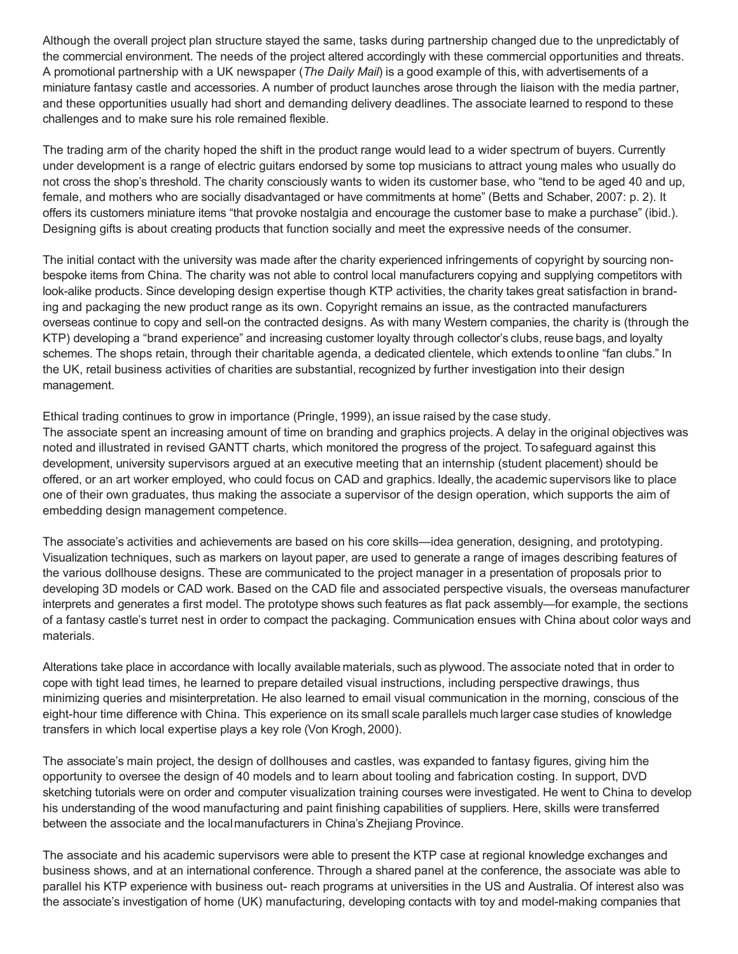Although the overall project plan structure stayed the same, tasks during partnership changed due to the unpredictably of the commercial environment. The needs of the project altered accordingly with these commercial opportunities and threats. A promotional partnership with a UK newspaper (*The Daily Mail*) is a good example of this, with advertisements of a miniature fantasy castle and accessories. A number of product launches arose through the liaison with the media partner, and these opportunities usually had short and demanding delivery deadlines. The associate learned to respond to these challenges and to make sure his role remained flexible.

The trading arm of the charity hoped the shift in the product range would lead to a wider spectrum of buyers. Currently under development is a range of electric guitars endorsed by some top musicians to attract young males who usually do not cross the shop's threshold. The charity consciously wants to widen its customer base, who "tend to be aged 40 and up, female, and mothers who are socially disadvantaged or have commitments at home" (Betts and Schaber, 2007: p. 2). It offers its customers miniature items "that provoke nostalgia and encourage the customer base to make a purchase" (ibid.). Designing gifts is about creating products that function socially and meet the expressive needs of the consumer.

The initial contact with the university was made after the charity experienced infringements of copyright by sourcing nonbespoke items from China. The charity was not able to control local manufacturers copying and supplying competitors with look-alike products. Since developing design expertise though KTP activities, the charity takes great satisfaction in branding and packaging the new product range as its own. Copyright remains an issue, as the contracted manufacturers overseas continue to copy and sell-on the contracted designs. As with many Western companies, the charity is (through the KTP) developing a "brand experience" and increasing customer loyalty through collector's clubs, reuse bags, and loyalty schemes. The shops retain, through their charitable agenda, a dedicated clientele, which extends toonline "fan clubs." In the UK, retail business activities of charities are substantial, recognized by further investigation into their design management.

Ethical trading continues to grow in importance (Pringle, 1999), an issue raised by the case study. The associate spent an increasing amount of time on branding and graphics projects. A delay in the original objectives was noted and illustrated in revised GANTT charts, which monitored the progress of the project. To safeguard against this development, university supervisors argued at an executive meeting that an internship (student placement) should be offered, or an art worker employed, who could focus on CAD and graphics. Ideally, the academic supervisors like to place one of their own graduates, thus making the associate a supervisor of the design operation, which supports the aim of embedding design management competence.

The associate's activities and achievements are based on his core skills—idea generation, designing, and prototyping. Visualization techniques, such as markers on layout paper, are used to generate a range of images describing features of the various dollhouse designs. These are communicated to the project manager in a presentation of proposals prior to developing 3D models or CAD work. Based on the CAD file and associated perspective visuals, the overseas manufacturer interprets and generates a first model. The prototype shows such features as flat pack assembly—for example, the sections of a fantasy castle's turret nest in order to compact the packaging. Communication ensues with China about color ways and materials.

Alterations take place in accordance with locally available materials, such as plywood.The associate noted that in order to cope with tight lead times, he learned to prepare detailed visual instructions, including perspective drawings, thus minimizing queries and misinterpretation. He also learned to email visual communication in the morning, conscious of the eight-hour time difference with China. This experience on its small scale parallels much larger case studies of knowledge transfers in which local expertise plays a key role (Von Krogh, 2000).

The associate's main project, the design of dollhouses and castles, was expanded to fantasy figures, giving him the opportunity to oversee the design of 40 models and to learn about tooling and fabrication costing. In support, DVD sketching tutorials were on order and computer visualization training courses were investigated. He went to China to develop his understanding of the wood manufacturing and paint finishing capabilities of suppliers. Here, skills were transferred between the associate and the localmanufacturers in China's Zhejiang Province.

The associate and his academic supervisors were able to present the KTP case at regional knowledge exchanges and business shows, and at an international conference. Through a shared panel at the conference, the associate was able to parallel his KTP experience with business out- reach programs at universities in the US and Australia. Of interest also was the associate's investigation of home (UK) manufacturing, developing contacts with toy and model-making companies that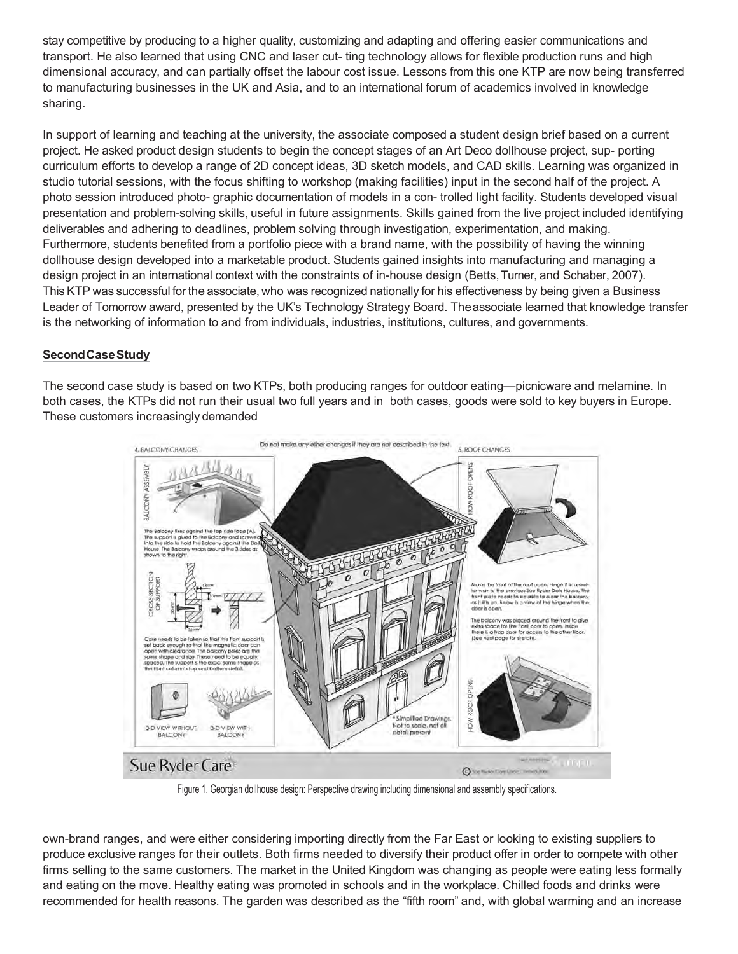stay competitive by producing to a higher quality, customizing and adapting and offering easier communications and transport. He also learned that using CNC and laser cut- ting technology allows for flexible production runs and high dimensional accuracy, and can partially offset the labour cost issue. Lessons from this one KTP are now being transferred to manufacturing businesses in the UK and Asia, and to an international forum of academics involved in knowledge sharing.

In support of learning and teaching at the university, the associate composed a student design brief based on a current project. He asked product design students to begin the concept stages of an Art Deco dollhouse project, sup- porting curriculum efforts to develop a range of 2D concept ideas, 3D sketch models, and CAD skills. Learning was organized in studio tutorial sessions, with the focus shifting to workshop (making facilities) input in the second half of the project. A photo session introduced photo- graphic documentation of models in a con- trolled light facility. Students developed visual presentation and problem-solving skills, useful in future assignments. Skills gained from the live project included identifying deliverables and adhering to deadlines, problem solving through investigation, experimentation, and making. Furthermore, students benefited from a portfolio piece with a brand name, with the possibility of having the winning dollhouse design developed into a marketable product. Students gained insights into manufacturing and managing a design project in an international context with the constraints of in-house design (Betts,Turner, and Schaber, 2007). This KTP was successful for the associate, who was recognized nationally for his effectiveness by being given a Business Leader of Tomorrow award, presented by the UK's Technology Strategy Board. Theassociate learned that knowledge transfer is the networking of information to and from individuals, industries, institutions, cultures, and governments.

## **SecondCaseStudy**

The second case study is based on two KTPs, both producing ranges for outdoor eating—picnicware and melamine. In both cases, the KTPs did not run their usual two full years and in both cases, goods were sold to key buyers in Europe. These customers increasingly demanded



Figure 1. Georgian dollhouse design: Perspective drawing including dimensional and assembly specifications.

own-brand ranges, and were either considering importing directly from the Far East or looking to existing suppliers to produce exclusive ranges for their outlets. Both firms needed to diversify their product offer in order to compete with other firms selling to the same customers. The market in the United Kingdom was changing as people were eating less formally and eating on the move. Healthy eating was promoted in schools and in the workplace. Chilled foods and drinks were recommended for health reasons. The garden was described as the "fifth room" and, with global warming and an increase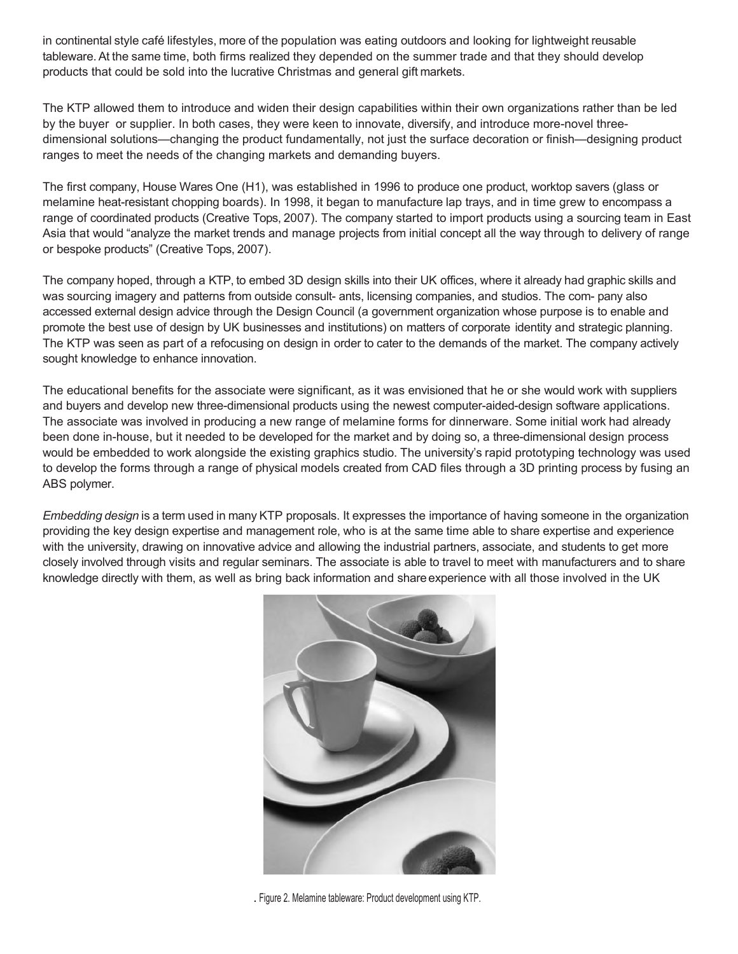in continental style café lifestyles, more of the population was eating outdoors and looking for lightweight reusable tableware.At the same time, both firms realized they depended on the summer trade and that they should develop products that could be sold into the lucrative Christmas and general gift markets.

The KTP allowed them to introduce and widen their design capabilities within their own organizations rather than be led by the buyer or supplier. In both cases, they were keen to innovate, diversify, and introduce more-novel threedimensional solutions—changing the product fundamentally, not just the surface decoration or finish—designing product ranges to meet the needs of the changing markets and demanding buyers.

The first company, House Wares One (H1), was established in 1996 to produce one product, worktop savers (glass or melamine heat-resistant chopping boards). In 1998, it began to manufacture lap trays, and in time grew to encompass a range of coordinated products (Creative Tops, 2007). The company started to import products using a sourcing team in East Asia that would "analyze the market trends and manage projects from initial concept all the way through to delivery of range or bespoke products" (Creative Tops, 2007).

The company hoped, through a KTP, to embed 3D design skills into their UK offices, where it already had graphic skills and was sourcing imagery and patterns from outside consult- ants, licensing companies, and studios. The com- pany also accessed external design advice through the Design Council (a government organization whose purpose is to enable and promote the best use of design by UK businesses and institutions) on matters of corporate identity and strategic planning. The KTP was seen as part of a refocusing on design in order to cater to the demands of the market. The company actively sought knowledge to enhance innovation.

The educational benefits for the associate were significant, as it was envisioned that he or she would work with suppliers and buyers and develop new three-dimensional products using the newest computer-aided-design software applications. The associate was involved in producing a new range of melamine forms for dinnerware. Some initial work had already been done in-house, but it needed to be developed for the market and by doing so, a three-dimensional design process would be embedded to work alongside the existing graphics studio. The university's rapid prototyping technology was used to develop the forms through a range of physical models created from CAD files through a 3D printing process by fusing an ABS polymer.

*Embedding design* is a term used in many KTP proposals. It expresses the importance of having someone in the organization providing the key design expertise and management role, who is at the same time able to share expertise and experience with the university, drawing on innovative advice and allowing the industrial partners, associate, and students to get more closely involved through visits and regular seminars. The associate is able to travel to meet with manufacturers and to share knowledge directly with them, as well as bring back information and shareexperience with all those involved in the UK



. Figure 2. Melamine tableware: Product development using KTP.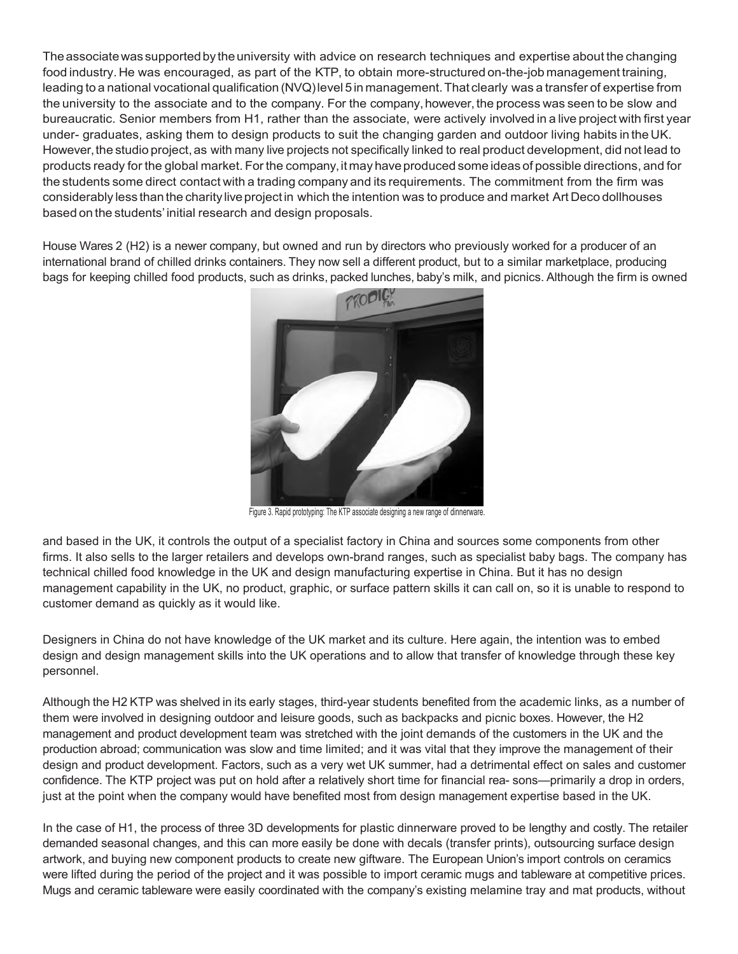The associate was supported by the university with advice on research techniques and expertise about the changing food industry. He was encouraged, as part of the KTP, to obtain more-structured on-the-job management training, leading to a national vocational qualification (NVQ)level 5in management.That clearly was a transfer of expertise from the university to the associate and to the company. For the company,however,the process was seen to be slow and bureaucratic. Senior members from H1, rather than the associate, were actively involved in a live project with first year under- graduates, asking them to design products to suit the changing garden and outdoor living habits in the UK. However, the studio project, as with many live projects not specifically linked to real product development, did not lead to products ready for the global market. For the company, it may have produced some ideas of possible directions, and for the students some direct contact with a trading company and its requirements. The commitment from the firm was considerably less than the charity live project in which the intention was to produce and market Art Deco dollhouses based on the students' initial research and design proposals.

House Wares 2 (H2) is a newer company, but owned and run by directors who previously worked for a producer of an international brand of chilled drinks containers. They now sell a different product, but to a similar marketplace, producing bags for keeping chilled food products, such as drinks, packed lunches, baby's milk, and picnics. Although the firm is owned



Figure 3. Rapid prototyping: The KTP associate designing a new range of dinnerware.

and based in the UK, it controls the output of a specialist factory in China and sources some components from other firms. It also sells to the larger retailers and develops own-brand ranges, such as specialist baby bags. The company has technical chilled food knowledge in the UK and design manufacturing expertise in China. But it has no design management capability in the UK, no product, graphic, or surface pattern skills it can call on, so it is unable to respond to customer demand as quickly as it would like.

Designers in China do not have knowledge of the UK market and its culture. Here again, the intention was to embed design and design management skills into the UK operations and to allow that transfer of knowledge through these key personnel.

Although the H2 KTP was shelved in its early stages, third-year students benefited from the academic links, as a number of them were involved in designing outdoor and leisure goods, such as backpacks and picnic boxes. However, the H2 management and product development team was stretched with the joint demands of the customers in the UK and the production abroad; communication was slow and time limited; and it was vital that they improve the management of their design and product development. Factors, such as a very wet UK summer, had a detrimental effect on sales and customer confidence. The KTP project was put on hold after a relatively short time for financial rea- sons—primarily a drop in orders, just at the point when the company would have benefited most from design management expertise based in the UK.

In the case of H1, the process of three 3D developments for plastic dinnerware proved to be lengthy and costly. The retailer demanded seasonal changes, and this can more easily be done with decals (transfer prints), outsourcing surface design artwork, and buying new component products to create new giftware. The European Union's import controls on ceramics were lifted during the period of the project and it was possible to import ceramic mugs and tableware at competitive prices. Mugs and ceramic tableware were easily coordinated with the company's existing melamine tray and mat products, without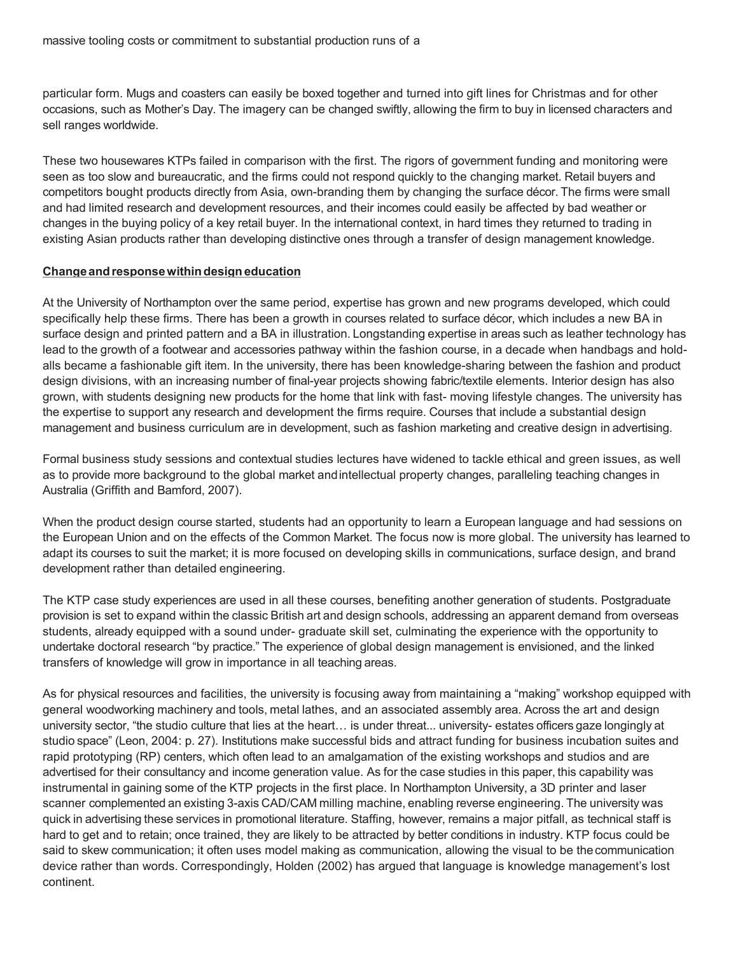particular form. Mugs and coasters can easily be boxed together and turned into gift lines for Christmas and for other occasions, such as Mother's Day. The imagery can be changed swiftly, allowing the firm to buy in licensed characters and sell ranges worldwide.

These two housewares KTPs failed in comparison with the first. The rigors of government funding and monitoring were seen as too slow and bureaucratic, and the firms could not respond quickly to the changing market. Retail buyers and competitors bought products directly from Asia, own-branding them by changing the surface décor. The firms were small and had limited research and development resources, and their incomes could easily be affected by bad weather or changes in the buying policy of a key retail buyer. In the international context, in hard times they returned to trading in existing Asian products rather than developing distinctive ones through a transfer of design management knowledge.

### **Change andresponsewithindesigneducation**

At the University of Northampton over the same period, expertise has grown and new programs developed, which could specifically help these firms. There has been a growth in courses related to surface décor, which includes a new BA in surface design and printed pattern and a BA in illustration. Longstanding expertise in areas such as leather technology has lead to the growth of a footwear and accessories pathway within the fashion course, in a decade when handbags and holdalls became a fashionable gift item. In the university, there has been knowledge-sharing between the fashion and product design divisions, with an increasing number of final-year projects showing fabric/textile elements. Interior design has also grown, with students designing new products for the home that link with fast- moving lifestyle changes. The university has the expertise to support any research and development the firms require. Courses that include a substantial design management and business curriculum are in development, such as fashion marketing and creative design in advertising.

Formal business study sessions and contextual studies lectures have widened to tackle ethical and green issues, as well as to provide more background to the global market andintellectual property changes, paralleling teaching changes in Australia (Griffith and Bamford, 2007).

When the product design course started, students had an opportunity to learn a European language and had sessions on the European Union and on the effects of the Common Market. The focus now is more global. The university has learned to adapt its courses to suit the market; it is more focused on developing skills in communications, surface design, and brand development rather than detailed engineering.

The KTP case study experiences are used in all these courses, benefiting another generation of students. Postgraduate provision is set to expand within the classic British art and design schools, addressing an apparent demand from overseas students, already equipped with a sound under- graduate skill set, culminating the experience with the opportunity to undertake doctoral research "by practice." The experience of global design management is envisioned, and the linked transfers of knowledge will grow in importance in all teaching areas.

As for physical resources and facilities, the university is focusing away from maintaining a "making" workshop equipped with general woodworking machinery and tools, metal lathes, and an associated assembly area. Across the art and design university sector, "the studio culture that lies at the heart… is under threat... university- estates officers gaze longingly at studio space" (Leon, 2004: p. 27). Institutions make successful bids and attract funding for business incubation suites and rapid prototyping (RP) centers, which often lead to an amalgamation of the existing workshops and studios and are advertised for their consultancy and income generation value. As for the case studies in this paper, this capability was instrumental in gaining some of the KTP projects in the first place. In Northampton University, a 3D printer and laser scanner complemented an existing 3-axis CAD/CAM milling machine, enabling reverse engineering. The university was quick in advertising these services in promotional literature. Staffing, however, remains a major pitfall, as technical staff is hard to get and to retain; once trained, they are likely to be attracted by better conditions in industry. KTP focus could be said to skew communication; it often uses model making as communication, allowing the visual to be thecommunication device rather than words. Correspondingly, Holden (2002) has argued that language is knowledge management's lost continent.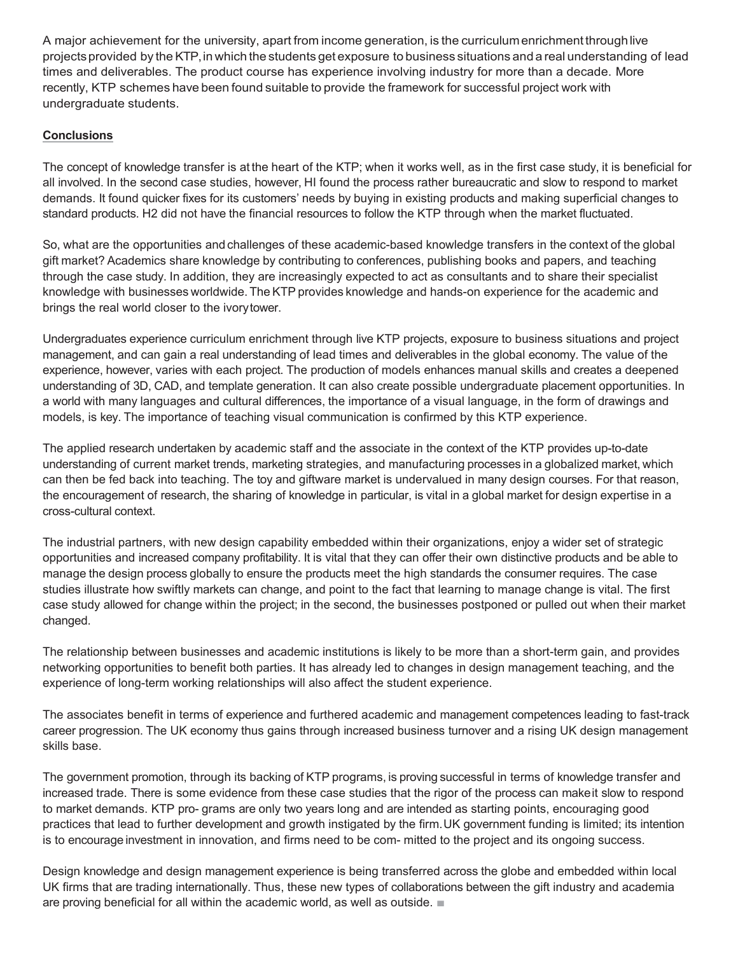A major achievement for the university, apart from income generation, is the curriculumenrichmentthroughlive projectsprovided by theKTP,in which the students get exposure to business situations and a real understanding of lead times and deliverables. The product course has experience involving industry for more than a decade. More recently, KTP schemes have been found suitable to provide the framework for successful project work with undergraduate students.

## **Conclusions**

The concept of knowledge transfer is at the heart of the KTP; when it works well, as in the first case study, it is beneficial for all involved. In the second case studies, however, HI found the process rather bureaucratic and slow to respond to market demands. It found quicker fixes for its customers' needs by buying in existing products and making superficial changes to standard products. H2 did not have the financial resources to follow the KTP through when the market fluctuated.

So, what are the opportunities and challenges of these academic-based knowledge transfers in the context of the global gift market? Academics share knowledge by contributing to conferences, publishing books and papers, and teaching through the case study. In addition, they are increasingly expected to act as consultants and to share their specialist knowledge with businesses worldwide. The KTP provides knowledge and hands-on experience for the academic and brings the real world closer to the ivorytower.

Undergraduates experience curriculum enrichment through live KTP projects, exposure to business situations and project management, and can gain a real understanding of lead times and deliverables in the global economy. The value of the experience, however, varies with each project. The production of models enhances manual skills and creates a deepened understanding of 3D, CAD, and template generation. It can also create possible undergraduate placement opportunities. In a world with many languages and cultural differences, the importance of a visual language, in the form of drawings and models, is key. The importance of teaching visual communication is confirmed by this KTP experience.

The applied research undertaken by academic staff and the associate in the context of the KTP provides up-to-date understanding of current market trends, marketing strategies, and manufacturing processes in a globalized market, which can then be fed back into teaching. The toy and giftware market is undervalued in many design courses. For that reason, the encouragement of research, the sharing of knowledge in particular, is vital in a global market for design expertise in a cross-cultural context.

The industrial partners, with new design capability embedded within their organizations, enjoy a wider set of strategic opportunities and increased company profitability. It is vital that they can offer their own distinctive products and be able to manage the design process globally to ensure the products meet the high standards the consumer requires. The case studies illustrate how swiftly markets can change, and point to the fact that learning to manage change is vital. The first case study allowed for change within the project; in the second, the businesses postponed or pulled out when their market changed.

The relationship between businesses and academic institutions is likely to be more than a short-term gain, and provides networking opportunities to benefit both parties. It has already led to changes in design management teaching, and the experience of long-term working relationships will also affect the student experience.

The associates benefit in terms of experience and furthered academic and management competences leading to fast-track career progression. The UK economy thus gains through increased business turnover and a rising UK design management skills base.

The government promotion, through its backing of KTP programs, is proving successful in terms of knowledge transfer and increased trade. There is some evidence from these case studies that the rigor of the process can makeit slow to respond to market demands. KTP pro- grams are only two years long and are intended as starting points, encouraging good practices that lead to further development and growth instigated by the firm.UK government funding is limited; its intention is to encourage investment in innovation, and firms need to be com- mitted to the project and its ongoing success.

Design knowledge and design management experience is being transferred across the globe and embedded within local UK firms that are trading internationally. Thus, these new types of collaborations between the gift industry and academia are proving beneficial for all within the academic world, as well as outside. ■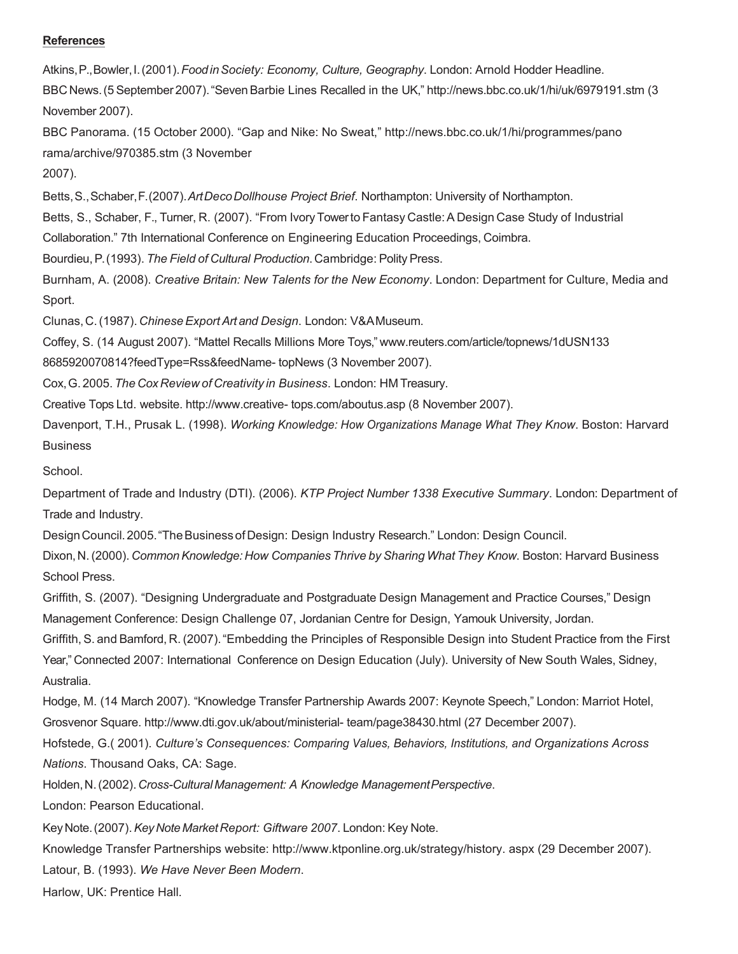#### **References**

Atkins,P.,Bowler,I.(2001).*FoodinSociety: Economy, Culture, Geography*. London: Arnold Hodder Headline. BBC News. (5 September 2007). "Seven Barbie Lines Recalled in the UK," <http://news.bbc.co.uk/1/hi/uk/6979191.stm> (3 November 2007).

BBC Panorama. (15 October 2000). "Gap and Nike: No Sweat," <http://news.bbc.co.uk/1/hi/programmes/pano> rama/archive/970385.stm (3 November

2007).

Betts,S.,Schaber,F.(2007).*ArtDecoDollhouse Project Brief*. Northampton: University of Northampton.

Betts, S., Schaber, F., Turner, R. (2007). "From IvoryTowerto Fantasy Castle:A Design Case Study of Industrial

Collaboration." 7th International Conference on Engineering Education Proceedings, Coimbra.

Bourdieu,P.(1993). *The Field of Cultural Production*. Cambridge: Polity Press.

Burnham, A. (2008). *Creative Britain: New Talents for the New Economy*. London: Department for Culture, Media and Sport.

Clunas,C.(1987). *ChineseExportArt and Design*. London: V&AMuseum.

Coffey, S. (14 August 2007). "Mattel Recalls Millions More Toys," [www.reuters.com/article/topnews/1dUSN133](http://www.reuters.com/article/topnews/1dUSN133)

8685920070814?feedType=Rss&feedName- topNews (3 November 2007).

Cox,G. 2005.*The CoxReview of Creativity in Business*. London: HM Treasury.

Creative Tops Ltd. website. http://www.creative- tops.com/aboutus.asp (8 November 2007).

Davenport, T.H., Prusak L. (1998). *Working Knowledge: How Organizations Manage What They Know*. Boston: Harvard Business

School.

Department of Trade and Industry (DTI). (2006). *KTP Project Number 1338 Executive Summary*. London: Department of Trade and Industry.

Design Council. 2005. "The Business of Design: Design Industry Research." London: Design Council.

Dixon,N.(2000). *CommonKnowledge: How Companies Thrive by Sharing What They Know*. Boston: Harvard Business School Press.

Griffith, S. (2007). "Designing Undergraduate and Postgraduate Design Management and Practice Courses," Design Management Conference: Design Challenge 07, Jordanian Centre for Design, Yamouk University, Jordan.

Griffith,S. and Bamford, R. (2007)."Embedding the Principles of Responsible Design into Student Practice from the First Year," Connected 2007: International Conference on Design Education (July). University of New South Wales, Sidney, Australia.

Hodge, M. (14 March 2007). "Knowledge Transfer Partnership Awards 2007: Keynote Speech," London: Marriot Hotel, Grosvenor Square.<http://www.dti.gov.uk/about/ministerial-> team/page38430.html (27 December 2007).

Hofstede, G.( 2001). *Culture's Consequences: Comparing Values, Behaviors, Institutions, and Organizations Across Nations*. Thousand Oaks, CA: Sage.

Holden,N.(2002).*Cross-CulturalManagement: A Knowledge ManagementPerspective*.

London: Pearson Educational.

KeyNote.(2007).*KeyNoteMarketReport: Giftware 2007*. London: Key Note.

Knowledge Transfer Partnerships website: [http://www.ktponline.org.uk/strategy/history.](http://www.ktponline.org.uk/strategy/history) aspx (29 December 2007). Latour, B. (1993). *We Have Never Been Modern*.

Harlow, UK: Prentice Hall.